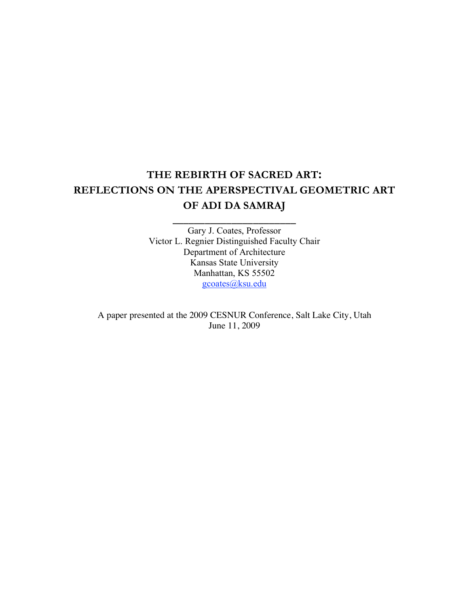# **THE REBIRTH OF SACRED ART: REFLECTIONS ON THE APERSPECTIVAL GEOMETRIC ART OF ADI DA SAMRAJ**

**\_\_\_\_\_\_\_\_\_\_\_\_\_\_\_\_\_\_\_\_\_\_\_**

Gary J. Coates, Professor Victor L. Regnier Distinguished Faculty Chair Department of Architecture Kansas State University Manhattan, KS 55502 gcoates@ksu.edu

A paper presented at the 2009 CESNUR Conference, Salt Lake City, Utah June 11, 2009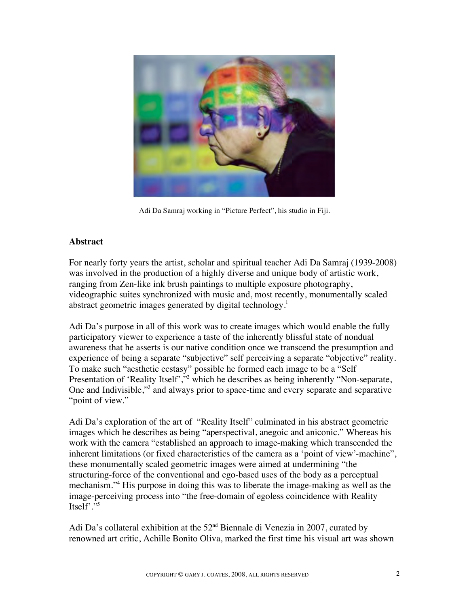

Adi Da Samraj working in "Picture Perfect", his studio in Fiji.

# **Abstract**

For nearly forty years the artist, scholar and spiritual teacher Adi Da Samraj (1939-2008) was involved in the production of a highly diverse and unique body of artistic work, ranging from Zen-like ink brush paintings to multiple exposure photography, videographic suites synchronized with music and, most recently, monumentally scaled abstract geometric images generated by digital technology.<sup>1</sup>

Adi Da's purpose in all of this work was to create images which would enable the fully participatory viewer to experience a taste of the inherently blissful state of nondual awareness that he asserts is our native condition once we transcend the presumption and experience of being a separate "subjective" self perceiving a separate "objective" reality. To make such "aesthetic ecstasy" possible he formed each image to be a "Self Presentation of 'Reality Itself',"<sup>2</sup> which he describes as being inherently "Non-separate, One and Indivisible,"<sup>3</sup> and always prior to space-time and every separate and separative "point of view."

Adi Da's exploration of the art of "Reality Itself" culminated in his abstract geometric images which he describes as being "aperspectival, anegoic and aniconic." Whereas his work with the camera "established an approach to image-making which transcended the inherent limitations (or fixed characteristics of the camera as a 'point of view'-machine", these monumentally scaled geometric images were aimed at undermining "the structuring-force of the conventional and ego-based uses of the body as a perceptual mechanism."4 His purpose in doing this was to liberate the image-making as well as the image-perceiving process into "the free-domain of egoless coincidence with Reality Itself'."5

Adi Da's collateral exhibition at the  $52<sup>nd</sup>$  Biennale di Venezia in 2007, curated by renowned art critic, Achille Bonito Oliva, marked the first time his visual art was shown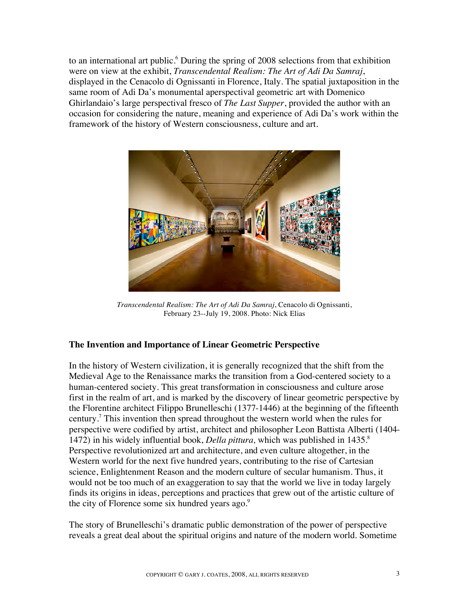to an international art public.<sup>6</sup> During the spring of 2008 selections from that exhibition were on view at the exhibit, *Transcendental Realism: The Art of Adi Da Samraj*, displayed in the Cenacolo di Ognissanti in Florence, Italy. The spatial juxtaposition in the same room of Adi Da's monumental aperspectival geometric art with Domenico Ghirlandaio's large perspectival fresco of *The Last Supper*, provided the author with an occasion for considering the nature, meaning and experience of Adi Da's work within the framework of the history of Western consciousness, culture and art.



*Transcendental Realism: The Art of Adi Da Samraj*, Cenacolo di Ognissanti, February 23--July 19, 2008. Photo: Nick Elias

# **The Invention and Importance of Linear Geometric Perspective**

In the history of Western civilization, it is generally recognized that the shift from the Medieval Age to the Renaissance marks the transition from a God-centered society to a human-centered society. This great transformation in consciousness and culture arose first in the realm of art, and is marked by the discovery of linear geometric perspective by the Florentine architect Filippo Brunelleschi (1377-1446) at the beginning of the fifteenth century.<sup>7</sup> This invention then spread throughout the western world when the rules for perspective were codified by artist, architect and philosopher Leon Battista Alberti (1404- 1472) in his widely influential book, *Della pittura,* which was published in 1435.8 Perspective revolutionized art and architecture, and even culture altogether, in the Western world for the next five hundred years, contributing to the rise of Cartesian science, Enlightenment Reason and the modern culture of secular humanism. Thus, it would not be too much of an exaggeration to say that the world we live in today largely finds its origins in ideas, perceptions and practices that grew out of the artistic culture of the city of Florence some six hundred years ago.<sup>9</sup>

The story of Brunelleschi's dramatic public demonstration of the power of perspective reveals a great deal about the spiritual origins and nature of the modern world. Sometime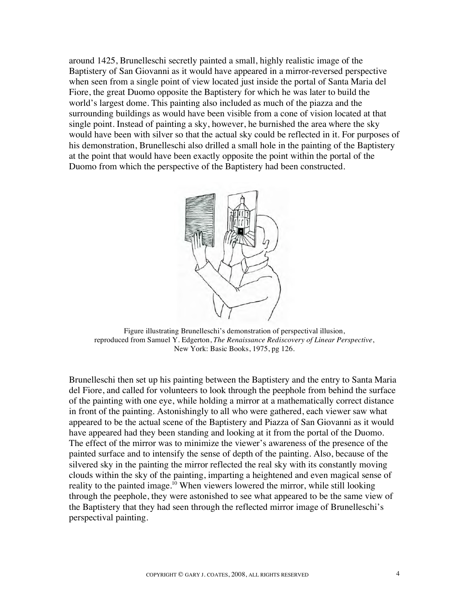around 1425, Brunelleschi secretly painted a small, highly realistic image of the Baptistery of San Giovanni as it would have appeared in a mirror-reversed perspective when seen from a single point of view located just inside the portal of Santa Maria del Fiore, the great Duomo opposite the Baptistery for which he was later to build the world's largest dome. This painting also included as much of the piazza and the surrounding buildings as would have been visible from a cone of vision located at that single point. Instead of painting a sky, however, he burnished the area where the sky would have been with silver so that the actual sky could be reflected in it. For purposes of his demonstration, Brunelleschi also drilled a small hole in the painting of the Baptistery at the point that would have been exactly opposite the point within the portal of the Duomo from which the perspective of the Baptistery had been constructed.



Figure illustrating Brunelleschi's demonstration of perspectival illusion, reproduced from Samuel Y. Edgerton, *The Renaissance Rediscovery of Linear Perspective*, New York: Basic Books, 1975, pg 126.

Brunelleschi then set up his painting between the Baptistery and the entry to Santa Maria del Fiore, and called for volunteers to look through the peephole from behind the surface of the painting with one eye, while holding a mirror at a mathematically correct distance in front of the painting. Astonishingly to all who were gathered, each viewer saw what appeared to be the actual scene of the Baptistery and Piazza of San Giovanni as it would have appeared had they been standing and looking at it from the portal of the Duomo. The effect of the mirror was to minimize the viewer's awareness of the presence of the painted surface and to intensify the sense of depth of the painting. Also, because of the silvered sky in the painting the mirror reflected the real sky with its constantly moving clouds within the sky of the painting, imparting a heightened and even magical sense of reality to the painted image.<sup>10</sup> When viewers lowered the mirror, while still looking through the peephole, they were astonished to see what appeared to be the same view of the Baptistery that they had seen through the reflected mirror image of Brunelleschi's perspectival painting.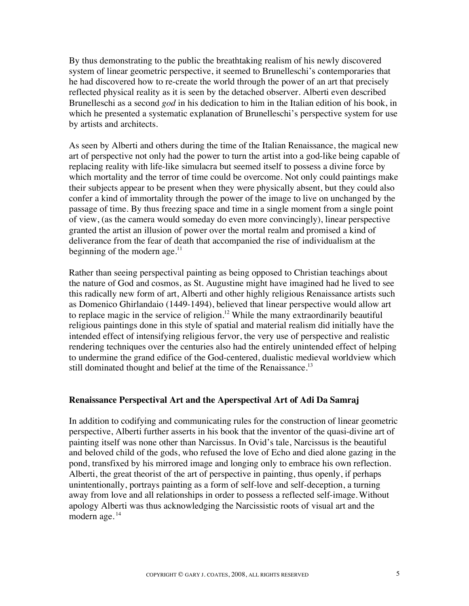By thus demonstrating to the public the breathtaking realism of his newly discovered system of linear geometric perspective, it seemed to Brunelleschi's contemporaries that he had discovered how to re-create the world through the power of an art that precisely reflected physical reality as it is seen by the detached observer. Alberti even described Brunelleschi as a second *god* in his dedication to him in the Italian edition of his book, in which he presented a systematic explanation of Brunelleschi's perspective system for use by artists and architects.

As seen by Alberti and others during the time of the Italian Renaissance, the magical new art of perspective not only had the power to turn the artist into a god-like being capable of replacing reality with life-like simulacra but seemed itself to possess a divine force by which mortality and the terror of time could be overcome. Not only could paintings make their subjects appear to be present when they were physically absent, but they could also confer a kind of immortality through the power of the image to live on unchanged by the passage of time. By thus freezing space and time in a single moment from a single point of view, (as the camera would someday do even more convincingly), linear perspective granted the artist an illusion of power over the mortal realm and promised a kind of deliverance from the fear of death that accompanied the rise of individualism at the beginning of the modern age. $^{11}$ 

Rather than seeing perspectival painting as being opposed to Christian teachings about the nature of God and cosmos, as St. Augustine might have imagined had he lived to see this radically new form of art, Alberti and other highly religious Renaissance artists such as Domenico Ghirlandaio (1449-1494), believed that linear perspective would allow art to replace magic in the service of religion.<sup>12</sup> While the many extraordinarily beautiful religious paintings done in this style of spatial and material realism did initially have the intended effect of intensifying religious fervor, the very use of perspective and realistic rendering techniques over the centuries also had the entirely unintended effect of helping to undermine the grand edifice of the God-centered, dualistic medieval worldview which still dominated thought and belief at the time of the Renaissance.<sup>13</sup>

#### **Renaissance Perspectival Art and the Aperspectival Art of Adi Da Samraj**

In addition to codifying and communicating rules for the construction of linear geometric perspective, Alberti further asserts in his book that the inventor of the quasi-divine art of painting itself was none other than Narcissus. In Ovid's tale, Narcissus is the beautiful and beloved child of the gods, who refused the love of Echo and died alone gazing in the pond, transfixed by his mirrored image and longing only to embrace his own reflection. Alberti, the great theorist of the art of perspective in painting, thus openly, if perhaps unintentionally, portrays painting as a form of self-love and self-deception, a turning away from love and all relationships in order to possess a reflected self-image.Without apology Alberti was thus acknowledging the Narcissistic roots of visual art and the modern age.<sup>14</sup>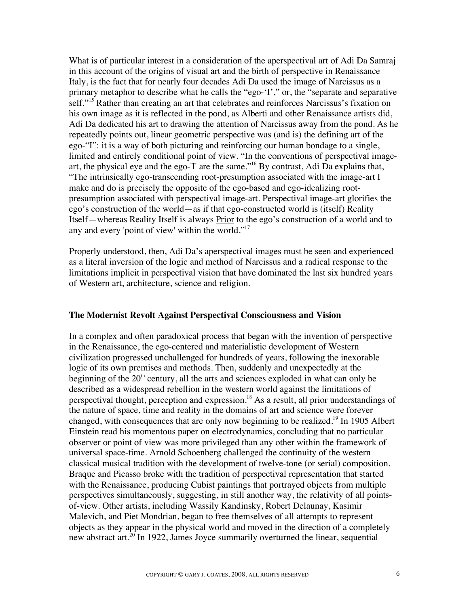What is of particular interest in a consideration of the aperspectival art of Adi Da Samraj in this account of the origins of visual art and the birth of perspective in Renaissance Italy, is the fact that for nearly four decades Adi Da used the image of Narcissus as a primary metaphor to describe what he calls the "ego-'I'," or, the "separate and separative self."<sup>15</sup> Rather than creating an art that celebrates and reinforces Narcissus's fixation on his own image as it is reflected in the pond, as Alberti and other Renaissance artists did, Adi Da dedicated his art to drawing the attention of Narcissus away from the pond. As he repeatedly points out, linear geometric perspective was (and is) the defining art of the ego-"I": it is a way of both picturing and reinforcing our human bondage to a single, limited and entirely conditional point of view. "In the conventions of perspectival imageart, the physical eye and the ego-'I' are the same."16 By contrast, Adi Da explains that, "The intrinsically ego-transcending root-presumption associated with the image-art I make and do is precisely the opposite of the ego-based and ego-idealizing rootpresumption associated with perspectival image-art. Perspectival image-art glorifies the ego's construction of the world—as if that ego-constructed world is (itself) Reality Itself—whereas Reality Itself is always Prior to the ego's construction of a world and to any and every 'point of view' within the world."17

Properly understood, then, Adi Da's aperspectival images must be seen and experienced as a literal inversion of the logic and method of Narcissus and a radical response to the limitations implicit in perspectival vision that have dominated the last six hundred years of Western art, architecture, science and religion.

## **The Modernist Revolt Against Perspectival Consciousness and Vision**

In a complex and often paradoxical process that began with the invention of perspective in the Renaissance, the ego-centered and materialistic development of Western civilization progressed unchallenged for hundreds of years, following the inexorable logic of its own premises and methods. Then, suddenly and unexpectedly at the beginning of the  $20<sup>th</sup>$  century, all the arts and sciences exploded in what can only be described as a widespread rebellion in the western world against the limitations of perspectival thought, perception and expression.<sup>18</sup> As a result, all prior understandings of the nature of space, time and reality in the domains of art and science were forever changed, with consequences that are only now beginning to be realized.<sup>19</sup> In 1905 Albert Einstein read his momentous paper on electrodynamics, concluding that no particular observer or point of view was more privileged than any other within the framework of universal space-time. Arnold Schoenberg challenged the continuity of the western classical musical tradition with the development of twelve-tone (or serial) composition. Braque and Picasso broke with the tradition of perspectival representation that started with the Renaissance, producing Cubist paintings that portrayed objects from multiple perspectives simultaneously, suggesting, in still another way, the relativity of all pointsof-view. Other artists, including Wassily Kandinsky, Robert Delaunay, Kasimir Malevich, and Piet Mondrian, began to free themselves of all attempts to represent objects as they appear in the physical world and moved in the direction of a completely new abstract art.<sup>20</sup> In 1922, James Joyce summarily overturned the linear, sequential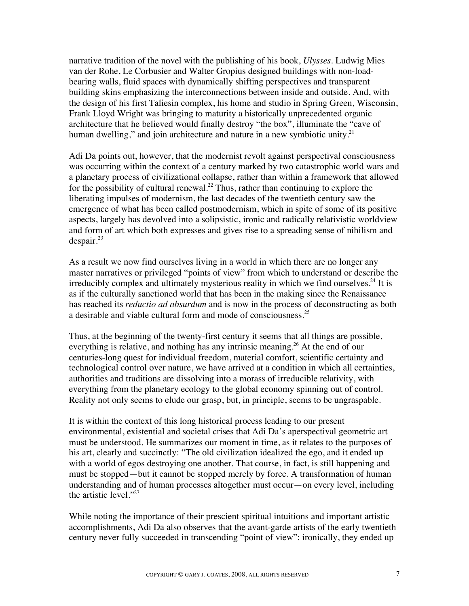narrative tradition of the novel with the publishing of his book, *Ulysses*. Ludwig Mies van der Rohe, Le Corbusier and Walter Gropius designed buildings with non-loadbearing walls, fluid spaces with dynamically shifting perspectives and transparent building skins emphasizing the interconnections between inside and outside. And, with the design of his first Taliesin complex, his home and studio in Spring Green, Wisconsin, Frank Lloyd Wright was bringing to maturity a historically unprecedented organic architecture that he believed would finally destroy "the box", illuminate the "cave of human dwelling," and join architecture and nature in a new symbiotic unity. $2<sup>1</sup>$ 

Adi Da points out, however, that the modernist revolt against perspectival consciousness was occurring within the context of a century marked by two catastrophic world wars and a planetary process of civilizational collapse, rather than within a framework that allowed for the possibility of cultural renewal.<sup>22</sup> Thus, rather than continuing to explore the liberating impulses of modernism, the last decades of the twentieth century saw the emergence of what has been called postmodernism, which in spite of some of its positive aspects, largely has devolved into a solipsistic, ironic and radically relativistic worldview and form of art which both expresses and gives rise to a spreading sense of nihilism and  $despair.<sup>23</sup>$ 

As a result we now find ourselves living in a world in which there are no longer any master narratives or privileged "points of view" from which to understand or describe the irreducibly complex and ultimately mysterious reality in which we find ourselves.<sup>24</sup> It is as if the culturally sanctioned world that has been in the making since the Renaissance has reached its *reductio ad absurdum* and is now in the process of deconstructing as both a desirable and viable cultural form and mode of consciousness.<sup>25</sup>

Thus, at the beginning of the twenty-first century it seems that all things are possible, everything is relative, and nothing has any intrinsic meaning.<sup>26</sup> At the end of our centuries-long quest for individual freedom, material comfort, scientific certainty and technological control over nature, we have arrived at a condition in which all certainties, authorities and traditions are dissolving into a morass of irreducible relativity, with everything from the planetary ecology to the global economy spinning out of control. Reality not only seems to elude our grasp, but, in principle, seems to be ungraspable.

It is within the context of this long historical process leading to our present environmental, existential and societal crises that Adi Da's aperspectival geometric art must be understood. He summarizes our moment in time, as it relates to the purposes of his art, clearly and succinctly: "The old civilization idealized the ego, and it ended up with a world of egos destroying one another. That course, in fact, is still happening and must be stopped—but it cannot be stopped merely by force. A transformation of human understanding and of human processes altogether must occur—on every level, including the artistic level." $^{27}$ 

While noting the importance of their prescient spiritual intuitions and important artistic accomplishments, Adi Da also observes that the avant-garde artists of the early twentieth century never fully succeeded in transcending "point of view": ironically, they ended up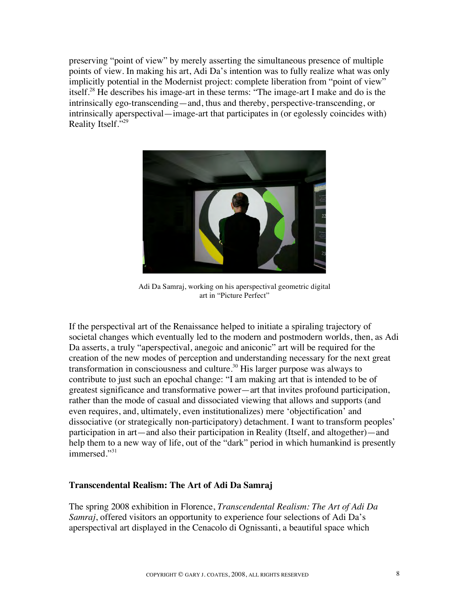preserving "point of view" by merely asserting the simultaneous presence of multiple points of view. In making his art, Adi Da's intention was to fully realize what was only implicitly potential in the Modernist project: complete liberation from "point of view" itself.28 He describes his image-art in these terms: "The image-art I make and do is the intrinsically ego-transcending—and, thus and thereby, perspective-transcending, or intrinsically aperspectival—image-art that participates in (or egolessly coincides with) Reality Itself."<sup>29</sup>



Adi Da Samraj, working on his aperspectival geometric digital art in "Picture Perfect"

If the perspectival art of the Renaissance helped to initiate a spiraling trajectory of societal changes which eventually led to the modern and postmodern worlds, then, as Adi Da asserts, a truly "aperspectival, anegoic and aniconic" art will be required for the creation of the new modes of perception and understanding necessary for the next great transformation in consciousness and culture.30 His larger purpose was always to contribute to just such an epochal change: "I am making art that is intended to be of greatest significance and transformative power—art that invites profound participation, rather than the mode of casual and dissociated viewing that allows and supports (and even requires, and, ultimately, even institutionalizes) mere 'objectification' and dissociative (or strategically non-participatory) detachment. I want to transform peoples' participation in art—and also their participation in Reality (Itself, and altogether)—and help them to a new way of life, out of the "dark" period in which humankind is presently immersed."<sup>31</sup>

# **Transcendental Realism: The Art of Adi Da Samraj**

The spring 2008 exhibition in Florence, *Transcendental Realism: The Art of Adi Da Samraj*, offered visitors an opportunity to experience four selections of Adi Da's aperspectival art displayed in the Cenacolo di Ognissanti, a beautiful space which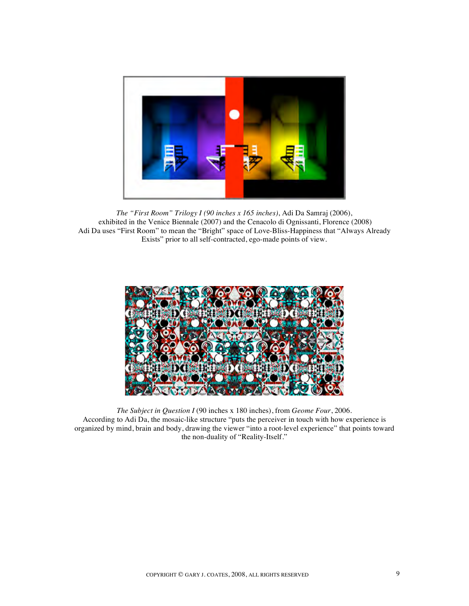

*The "First Room" Trilogy I (90 inches x 165 inches)*, Adi Da Samraj (2006), exhibited in the Venice Biennale (2007) and the Cenacolo di Ognissanti, Florence (2008) Adi Da uses "First Room" to mean the "Bright" space of Love-Bliss-Happiness that "Always Already Exists" prior to all self-contracted, ego-made points of view.



*The Subject in Question I* (90 inches x 180 inches), from *Geome Four*, 2006. According to Adi Da, the mosaic-like structure "puts the perceiver in touch with how experience is organized by mind, brain and body, drawing the viewer "into a root-level experience" that points toward the non-duality of "Reality-Itself."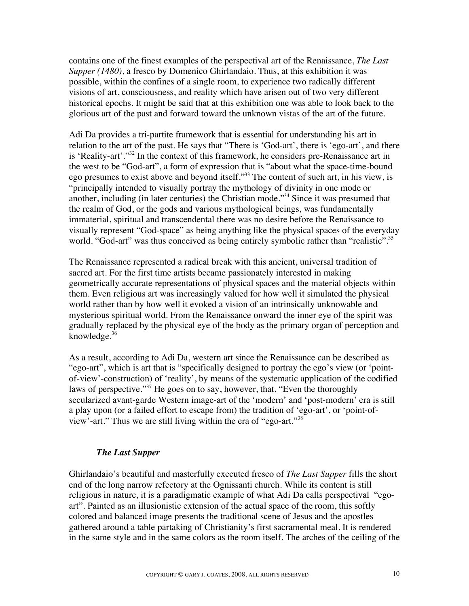contains one of the finest examples of the perspectival art of the Renaissance, *The Last Supper (1480)*, a fresco by Domenico Ghirlandaio. Thus, at this exhibition it was possible, within the confines of a single room, to experience two radically different visions of art, consciousness, and reality which have arisen out of two very different historical epochs. It might be said that at this exhibition one was able to look back to the glorious art of the past and forward toward the unknown vistas of the art of the future.

Adi Da provides a tri-partite framework that is essential for understanding his art in relation to the art of the past. He says that "There is 'God-art', there is 'ego-art', and there is 'Reality-art'."32 In the context of this framework, he considers pre-Renaissance art in the west to be "God-art", a form of expression that is "about what the space-time-bound ego presumes to exist above and beyond itself."<sup>33</sup> The content of such art, in his view, is "principally intended to visually portray the mythology of divinity in one mode or another, including (in later centuries) the Christian mode."34 Since it was presumed that the realm of God, or the gods and various mythological beings, was fundamentally immaterial, spiritual and transcendental there was no desire before the Renaissance to visually represent "God-space" as being anything like the physical spaces of the everyday world. "God-art" was thus conceived as being entirely symbolic rather than "realistic".<sup>35</sup>

The Renaissance represented a radical break with this ancient, universal tradition of sacred art. For the first time artists became passionately interested in making geometrically accurate representations of physical spaces and the material objects within them. Even religious art was increasingly valued for how well it simulated the physical world rather than by how well it evoked a vision of an intrinsically unknowable and mysterious spiritual world. From the Renaissance onward the inner eye of the spirit was gradually replaced by the physical eye of the body as the primary organ of perception and knowledge. $36$ 

As a result, according to Adi Da, western art since the Renaissance can be described as "ego-art", which is art that is "specifically designed to portray the ego's view (or 'pointof-view'-construction) of 'reality', by means of the systematic application of the codified laws of perspective."<sup>37</sup> He goes on to say, however, that, "Even the thoroughly secularized avant-garde Western image-art of the 'modern' and 'post-modern' era is still a play upon (or a failed effort to escape from) the tradition of 'ego-art', or 'point-ofview'-art." Thus we are still living within the era of "ego-art."38

#### *The Last Supper*

Ghirlandaio's beautiful and masterfully executed fresco of *The Last Supper* fills the short end of the long narrow refectory at the Ognissanti church. While its content is still religious in nature, it is a paradigmatic example of what Adi Da calls perspectival "egoart". Painted as an illusionistic extension of the actual space of the room, this softly colored and balanced image presents the traditional scene of Jesus and the apostles gathered around a table partaking of Christianity's first sacramental meal. It is rendered in the same style and in the same colors as the room itself. The arches of the ceiling of the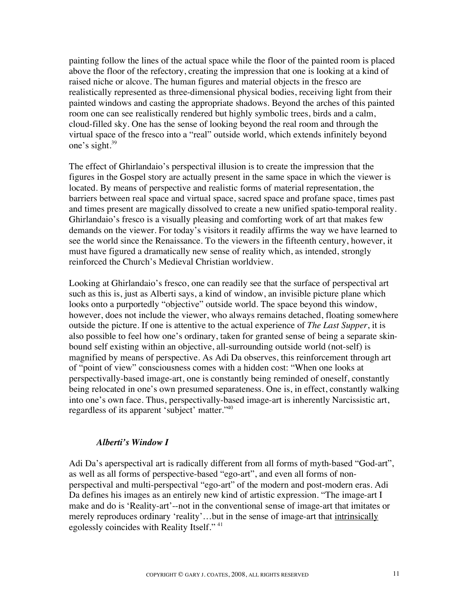painting follow the lines of the actual space while the floor of the painted room is placed above the floor of the refectory, creating the impression that one is looking at a kind of raised niche or alcove. The human figures and material objects in the fresco are realistically represented as three-dimensional physical bodies, receiving light from their painted windows and casting the appropriate shadows. Beyond the arches of this painted room one can see realistically rendered but highly symbolic trees, birds and a calm, cloud-filled sky. One has the sense of looking beyond the real room and through the virtual space of the fresco into a "real" outside world, which extends infinitely beyond one's sight.<sup>39</sup>

The effect of Ghirlandaio's perspectival illusion is to create the impression that the figures in the Gospel story are actually present in the same space in which the viewer is located. By means of perspective and realistic forms of material representation, the barriers between real space and virtual space, sacred space and profane space, times past and times present are magically dissolved to create a new unified spatio-temporal reality. Ghirlandaio's fresco is a visually pleasing and comforting work of art that makes few demands on the viewer. For today's visitors it readily affirms the way we have learned to see the world since the Renaissance. To the viewers in the fifteenth century, however, it must have figured a dramatically new sense of reality which, as intended, strongly reinforced the Church's Medieval Christian worldview.

Looking at Ghirlandaio's fresco, one can readily see that the surface of perspectival art such as this is, just as Alberti says, a kind of window, an invisible picture plane which looks onto a purportedly "objective" outside world. The space beyond this window, however, does not include the viewer, who always remains detached, floating somewhere outside the picture. If one is attentive to the actual experience of *The Last Supper*, it is also possible to feel how one's ordinary, taken for granted sense of being a separate skinbound self existing within an objective, all-surrounding outside world (not-self) is magnified by means of perspective. As Adi Da observes, this reinforcement through art of "point of view" consciousness comes with a hidden cost: "When one looks at perspectivally-based image-art, one is constantly being reminded of oneself, constantly being relocated in one's own presumed separateness. One is, in effect, constantly walking into one's own face. Thus, perspectivally-based image-art is inherently Narcissistic art, regardless of its apparent 'subject' matter."40

#### *Alberti's Window I*

Adi Da's aperspectival art is radically different from all forms of myth-based "God-art", as well as all forms of perspective-based "ego-art", and even all forms of nonperspectival and multi-perspectival "ego-art" of the modern and post-modern eras. Adi Da defines his images as an entirely new kind of artistic expression. "The image-art I make and do is 'Reality-art'--not in the conventional sense of image-art that imitates or merely reproduces ordinary 'reality'...but in the sense of image-art that intrinsically egolessly coincides with Reality Itself."<sup>41</sup>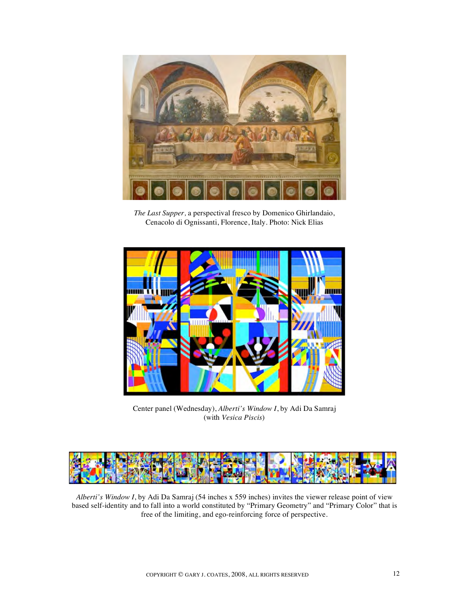

*The Last Supper,* a perspectival fresco by Domenico Ghirlandaio, Cenacolo di Ognissanti, Florence, Italy. Photo: Nick Elias



Center panel (Wednesday), *Alberti's Window I*, by Adi Da Samraj (with *Vesica Piscis*)



*Alberti's Window I*, by Adi Da Samraj (54 inches x 559 inches) invites the viewer release point of view based self-identity and to fall into a world constituted by "Primary Geometry" and "Primary Color" that is free of the limiting, and ego-reinforcing force of perspective.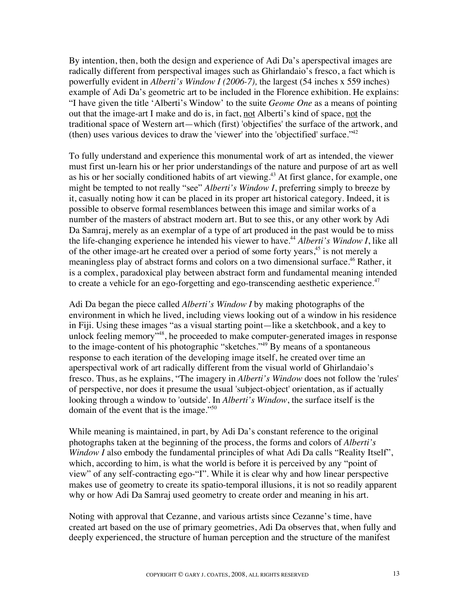By intention, then, both the design and experience of Adi Da's aperspectival images are radically different from perspectival images such as Ghirlandaio's fresco, a fact which is powerfully evident in *Alberti's Window I (2006-7),* the largest (54 inches x 559 inches) example of Adi Da's geometric art to be included in the Florence exhibition. He explains: "I have given the title 'Alberti's Window' to the suite *Geome One* as a means of pointing out that the image-art I make and do is, in fact, not Alberti's kind of space, not the traditional space of Western art—which (first) 'objectifies' the surface of the artwork, and (then) uses various devices to draw the 'viewer' into the 'objectified' surface." $42$ 

To fully understand and experience this monumental work of art as intended, the viewer must first un-learn his or her prior understandings of the nature and purpose of art as well as his or her socially conditioned habits of art viewing.<sup>43</sup> At first glance, for example, one might be tempted to not really "see" *Alberti's Window I*, preferring simply to breeze by it, casually noting how it can be placed in its proper art historical category. Indeed, it is possible to observe formal resemblances between this image and similar works of a number of the masters of abstract modern art. But to see this, or any other work by Adi Da Samraj, merely as an exemplar of a type of art produced in the past would be to miss the life-changing experience he intended his viewer to have.44 *Alberti's Window I*, like all of the other image-art he created over a period of some forty years,<sup>45</sup> is not merely a meaningless play of abstract forms and colors on a two dimensional surface.<sup>46</sup> Rather, it is a complex, paradoxical play between abstract form and fundamental meaning intended to create a vehicle for an ego-forgetting and ego-transcending aesthetic experience. $47$ 

Adi Da began the piece called *Alberti's Window I* by making photographs of the environment in which he lived, including views looking out of a window in his residence in Fiji. Using these images "as a visual starting point—like a sketchbook, and a key to unlock feeling memory<sup>748</sup>, he proceeded to make computer-generated images in response to the image-content of his photographic "sketches."<sup>49</sup> By means of a spontaneous response to each iteration of the developing image itself, he created over time an aperspectival work of art radically different from the visual world of Ghirlandaio's fresco. Thus, as he explains, "The imagery in *Alberti's Window* does not follow the 'rules' of perspective, nor does it presume the usual 'subject-object' orientation, as if actually looking through a window to 'outside'. In *Alberti's Window*, the surface itself is the domain of the event that is the image."<sup>50</sup>

While meaning is maintained, in part, by Adi Da's constant reference to the original photographs taken at the beginning of the process, the forms and colors of *Alberti's Window I* also embody the fundamental principles of what Adi Da calls "Reality Itself", which, according to him, is what the world is before it is perceived by any "point of view" of any self-contracting ego-"I". While it is clear why and how linear perspective makes use of geometry to create its spatio-temporal illusions, it is not so readily apparent why or how Adi Da Samraj used geometry to create order and meaning in his art.

Noting with approval that Cezanne, and various artists since Cezanne's time, have created art based on the use of primary geometries, Adi Da observes that, when fully and deeply experienced, the structure of human perception and the structure of the manifest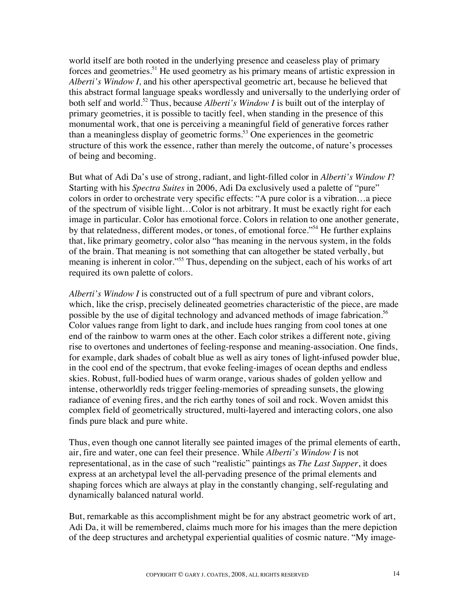world itself are both rooted in the underlying presence and ceaseless play of primary forces and geometries.<sup>51</sup> He used geometry as his primary means of artistic expression in *Alberti's Window I,* and his other aperspectival geometric art, because he believed that this abstract formal language speaks wordlessly and universally to the underlying order of both self and world.<sup>52</sup> Thus, because *Alberti's Window I* is built out of the interplay of primary geometries, it is possible to tacitly feel, when standing in the presence of this monumental work, that one is perceiving a meaningful field of generative forces rather than a meaningless display of geometric forms.<sup>53</sup> One experiences in the geometric structure of this work the essence, rather than merely the outcome, of nature's processes of being and becoming.

But what of Adi Da's use of strong, radiant, and light-filled color in *Alberti's Window I*? Starting with his *Spectra Suites* in 2006, Adi Da exclusively used a palette of "pure" colors in order to orchestrate very specific effects: "A pure color is a vibration…a piece of the spectrum of visible light…Color is not arbitrary. It must be exactly right for each image in particular. Color has emotional force. Colors in relation to one another generate, by that relatedness, different modes, or tones, of emotional force."<sup>54</sup> He further explains that, like primary geometry, color also "has meaning in the nervous system, in the folds of the brain. That meaning is not something that can altogether be stated verbally, but meaning is inherent in color."55 Thus, depending on the subject, each of his works of art required its own palette of colors.

*Alberti's Window I* is constructed out of a full spectrum of pure and vibrant colors, which, like the crisp, precisely delineated geometries characteristic of the piece, are made possible by the use of digital technology and advanced methods of image fabrication.<sup>56</sup> Color values range from light to dark, and include hues ranging from cool tones at one end of the rainbow to warm ones at the other. Each color strikes a different note, giving rise to overtones and undertones of feeling-response and meaning-association. One finds, for example, dark shades of cobalt blue as well as airy tones of light-infused powder blue, in the cool end of the spectrum, that evoke feeling-images of ocean depths and endless skies. Robust, full-bodied hues of warm orange, various shades of golden yellow and intense, otherworldly reds trigger feeling-memories of spreading sunsets, the glowing radiance of evening fires, and the rich earthy tones of soil and rock. Woven amidst this complex field of geometrically structured, multi-layered and interacting colors, one also finds pure black and pure white.

Thus, even though one cannot literally see painted images of the primal elements of earth, air, fire and water, one can feel their presence. While *Alberti's Window I* is not representational, as in the case of such "realistic" paintings as *The Last Supper*, it does express at an archetypal level the all-pervading presence of the primal elements and shaping forces which are always at play in the constantly changing, self-regulating and dynamically balanced natural world.

But, remarkable as this accomplishment might be for any abstract geometric work of art, Adi Da, it will be remembered, claims much more for his images than the mere depiction of the deep structures and archetypal experiential qualities of cosmic nature. "My image-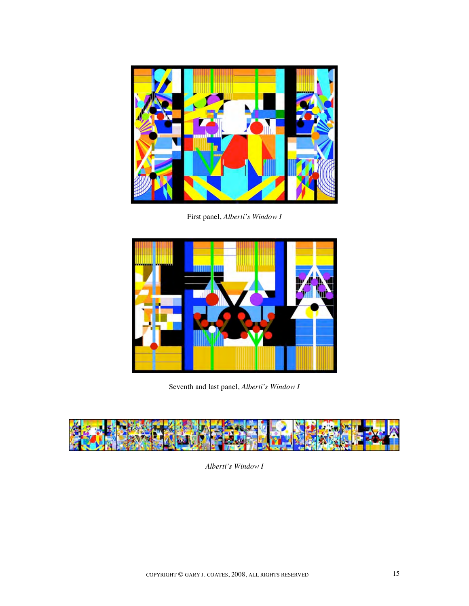

First panel, *Alberti's Window I*



Seventh and last panel, *Alberti's Window I*



*Alberti's Window I*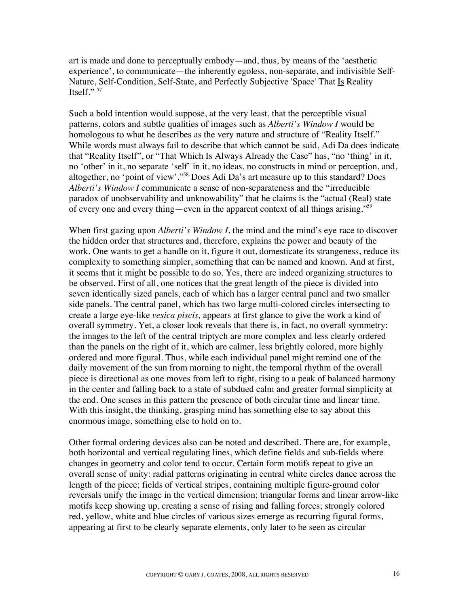art is made and done to perceptually embody—and, thus, by means of the 'aesthetic experience', to communicate—the inherently egoless, non-separate, and indivisible Self-Nature, Self-Condition, Self-State, and Perfectly Subjective 'Space' That Is Reality Itself." $^{57}$ 

Such a bold intention would suppose, at the very least, that the perceptible visual patterns, colors and subtle qualities of images such as *Alberti's Window I* would be homologous to what he describes as the very nature and structure of "Reality Itself." While words must always fail to describe that which cannot be said, Adi Da does indicate that "Reality Itself", or "That Which Is Always Already the Case" has, "no 'thing' in it, no 'other' in it, no separate 'self' in it, no ideas, no constructs in mind or perception, and, altogether, no 'point of view'."58 Does Adi Da's art measure up to this standard? Does *Alberti's Window I* communicate a sense of non-separateness and the "irreducible paradox of unobservability and unknowability" that he claims is the "actual (Real) state of every one and every thing—even in the apparent context of all things arising."59

When first gazing upon *Alberti's Window I*, the mind and the mind's eye race to discover the hidden order that structures and, therefore, explains the power and beauty of the work. One wants to get a handle on it, figure it out, domesticate its strangeness, reduce its complexity to something simpler, something that can be named and known. And at first, it seems that it might be possible to do so. Yes, there are indeed organizing structures to be observed. First of all, one notices that the great length of the piece is divided into seven identically sized panels, each of which has a larger central panel and two smaller side panels. The central panel, which has two large multi-colored circles intersecting to create a large eye-like *vesica piscis,* appears at first glance to give the work a kind of overall symmetry. Yet, a closer look reveals that there is, in fact, no overall symmetry: the images to the left of the central triptych are more complex and less clearly ordered than the panels on the right of it, which are calmer, less brightly colored, more highly ordered and more figural. Thus, while each individual panel might remind one of the daily movement of the sun from morning to night, the temporal rhythm of the overall piece is directional as one moves from left to right, rising to a peak of balanced harmony in the center and falling back to a state of subdued calm and greater formal simplicity at the end. One senses in this pattern the presence of both circular time and linear time. With this insight, the thinking, grasping mind has something else to say about this enormous image, something else to hold on to.

Other formal ordering devices also can be noted and described. There are, for example, both horizontal and vertical regulating lines, which define fields and sub-fields where changes in geometry and color tend to occur. Certain form motifs repeat to give an overall sense of unity: radial patterns originating in central white circles dance across the length of the piece; fields of vertical stripes, containing multiple figure-ground color reversals unify the image in the vertical dimension; triangular forms and linear arrow-like motifs keep showing up, creating a sense of rising and falling forces; strongly colored red, yellow, white and blue circles of various sizes emerge as recurring figural forms, appearing at first to be clearly separate elements, only later to be seen as circular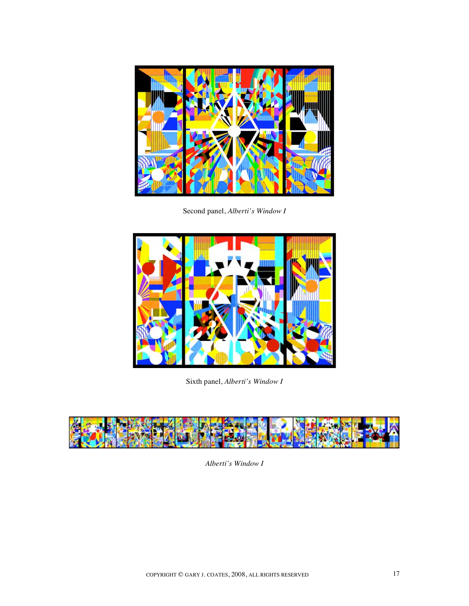

Second panel, *Alberti's Window I*



Sixth panel, *Alberti's Window I*



*Alberti's Window I*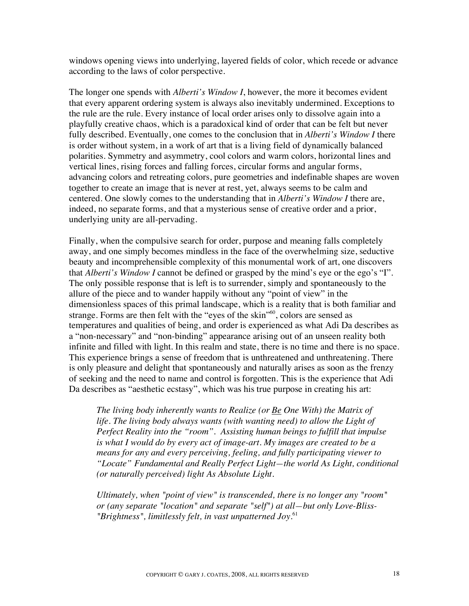windows opening views into underlying, layered fields of color, which recede or advance according to the laws of color perspective.

The longer one spends with *Alberti's Window I*, however, the more it becomes evident that every apparent ordering system is always also inevitably undermined. Exceptions to the rule are the rule. Every instance of local order arises only to dissolve again into a playfully creative chaos, which is a paradoxical kind of order that can be felt but never fully described. Eventually, one comes to the conclusion that in *Alberti's Window I* there is order without system, in a work of art that is a living field of dynamically balanced polarities. Symmetry and asymmetry, cool colors and warm colors, horizontal lines and vertical lines, rising forces and falling forces, circular forms and angular forms, advancing colors and retreating colors, pure geometries and indefinable shapes are woven together to create an image that is never at rest, yet, always seems to be calm and centered. One slowly comes to the understanding that in *Alberti's Window I* there are, indeed, no separate forms, and that a mysterious sense of creative order and a prior, underlying unity are all-pervading.

Finally, when the compulsive search for order, purpose and meaning falls completely away, and one simply becomes mindless in the face of the overwhelming size, seductive beauty and incomprehensible complexity of this monumental work of art, one discovers that *Alberti's Window I* cannot be defined or grasped by the mind's eye or the ego's "I". The only possible response that is left is to surrender, simply and spontaneously to the allure of the piece and to wander happily without any "point of view" in the dimensionless spaces of this primal landscape, which is a reality that is both familiar and strange. Forms are then felt with the "eyes of the skin"<sup>60</sup>, colors are sensed as temperatures and qualities of being, and order is experienced as what Adi Da describes as a "non-necessary" and "non-binding" appearance arising out of an unseen reality both infinite and filled with light. In this realm and state, there is no time and there is no space. This experience brings a sense of freedom that is unthreatened and unthreatening. There is only pleasure and delight that spontaneously and naturally arises as soon as the frenzy of seeking and the need to name and control is forgotten. This is the experience that Adi Da describes as "aesthetic ecstasy", which was his true purpose in creating his art:

*The living body inherently wants to Realize (or Be One With) the Matrix of life. The living body always wants (with wanting need) to allow the Light of Perfect Reality into the "room". Assisting human beings to fulfill that impulse is what I would do by every act of image-art. My images are created to be a means for any and every perceiving, feeling, and fully participating viewer to "Locate" Fundamental and Really Perfect Light—the world As Light, conditional (or naturally perceived) light As Absolute Light.*

*Ultimately, when "point of view" is transcended, there is no longer any "room" or (any separate "location" and separate "self") at all—but only Love-Bliss- "Brightness", limitlessly felt, in vast unpatterned Joy.*<sup>61</sup>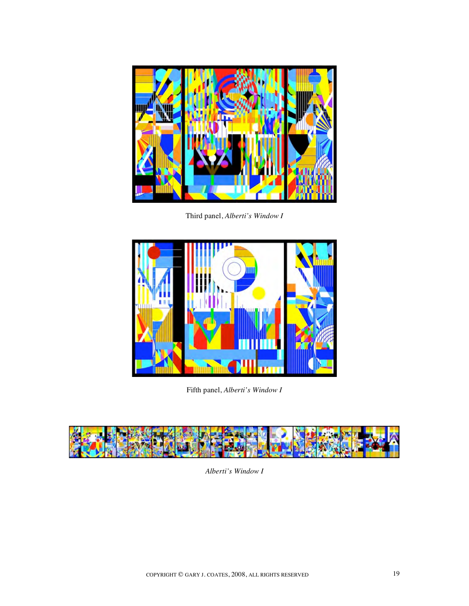

Third panel, *Alberti's Window I*



Fifth panel, *Alberti's Window I*



*Alberti's Window I*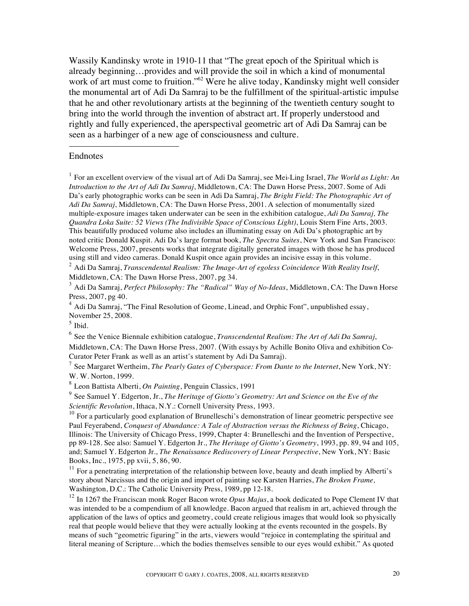Wassily Kandinsky wrote in 1910-11 that "The great epoch of the Spiritual which is already beginning…provides and will provide the soil in which a kind of monumental work of art must come to fruition."<sup>62</sup> Were he alive today, Kandinsky might well consider the monumental art of Adi Da Samraj to be the fulfillment of the spiritual-artistic impulse that he and other revolutionary artists at the beginning of the twentieth century sought to bring into the world through the invention of abstract art. If properly understood and rightly and fully experienced, the aperspectival geometric art of Adi Da Samraj can be seen as a harbinger of a new age of consciousness and culture.

### Endnotes

 $\overline{a}$ 

<sup>1</sup> For an excellent overview of the visual art of Adi Da Samraj, see Mei-Ling Israel, *The World as Light: An Introduction to the Art of Adi Da Samraj*, Middletown, CA: The Dawn Horse Press, 2007. Some of Adi Da's early photographic works can be seen in Adi Da Samraj, *The Bright Field: The Photographic Art of Adi Da Samraj*, Middletown, CA: The Dawn Horse Press, 2001. A selection of monumentally sized multiple-exposure images taken underwater can be seen in the exhibition catalogue, *Adi Da Samraj, The Quandra Loka Suite: 52 Views (The Indivisible Space of Conscious Light)*, Louis Stern Fine Arts, 2003. This beautifully produced volume also includes an illuminating essay on Adi Da's photographic art by noted critic Donald Kuspit. Adi Da's large format book, *The Spectra Suites*, New York and San Francisco: Welcome Press, 2007, presents works that integrate digitally generated images with those he has produced using still and video cameras. Donald Kuspit once again provides an incisive essay in this volume.

<sup>2</sup> Adi Da Samraj, *Transcendental Realism: The Image-Art of egoless Coincidence With Reality Itself*, Middletown, CA: The Dawn Horse Press, 2007, pg 34.

<sup>3</sup> Adi Da Samraj, *Perfect Philosophy: The "Radical" Way of No-Ideas*, Middletown, CA: The Dawn Horse Press, 2007, pg 40.

 $4$  Adi Da Samraj, "The Final Resolution of Geome, Linead, and Orphic Font", unpublished essay, November 25, 2008.

 $<sup>5</sup>$  Ibid.</sup>

<sup>6</sup> See the Venice Biennale exhibition catalogue, *Transcendental Realism: The Art of Adi Da Samraj*, Middletown, CA: The Dawn Horse Press, 2007. (With essays by Achille Bonito Oliva and exhibition Co-Curator Peter Frank as well as an artist's statement by Adi Da Samraj).

<sup>7</sup> See Margaret Wertheim, *The Pearly Gates of Cyberspace: From Dante to the Internet*, New York, NY: W. W. Norton, 1999.

<sup>8</sup> Leon Battista Alberti, *On Painting*, Penguin Classics, 1991

<sup>9</sup> See Samuel Y. Edgerton, Jr., *The Heritage of Giotto's Geometry: Art and Science on the Eve of the Scientific Revolution*, Ithaca, N.Y.: Cornell University Press, 1993.

 $10$  For a particularly good explanation of Brunelleschi's demonstration of linear geometric perspective see Paul Feyerabend, *Conquest of Abundance: A Tale of Abstraction versus the Richness of Being*, Chicago, Illinois: The University of Chicago Press, 1999, Chapter 4: Brunelleschi and the Invention of Perspective, pp 89-128. See also: Samuel Y. Edgerton Jr., *The Heritage of Giotto's Geometry*, 1993, pp. 89, 94 and 105, and; Samuel Y. Edgerton Jr., *The Renaissance Rediscovery of Linear Perspective*, New York, NY: Basic Books, Inc., 1975, pp xvii, 5, 86, 90.

 $11$  For a penetrating interpretation of the relationship between love, beauty and death implied by Alberti's story about Narcissus and the origin and import of painting see Karsten Harries, *The Broken Frame,* Washington, D.C.: The Catholic University Press, 1989, pp 12-18.

<sup>12</sup> In 1267 the Franciscan monk Roger Bacon wrote *Opus Majus*, a book dedicated to Pope Clement IV that was intended to be a compendium of all knowledge. Bacon argued that realism in art, achieved through the application of the laws of optics and geometry, could create religious images that would look so physically real that people would believe that they were actually looking at the events recounted in the gospels. By means of such "geometric figuring" in the arts, viewers would "rejoice in contemplating the spiritual and literal meaning of Scripture…which the bodies themselves sensible to our eyes would exhibit." As quoted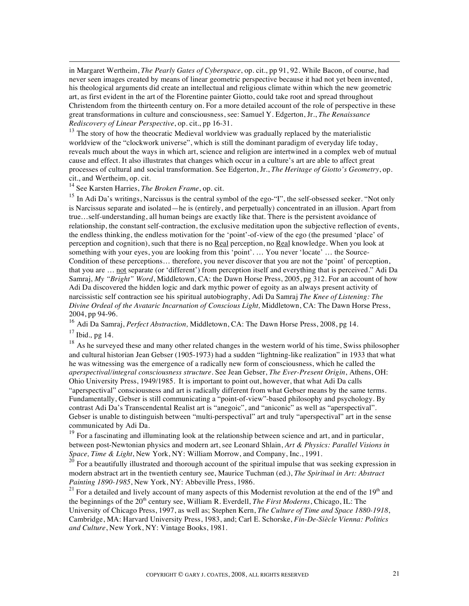in Margaret Wertheim, *The Pearly Gates of Cyberspace*, op. cit., pp 91, 92. While Bacon, of course, had never seen images created by means of linear geometric perspective because it had not yet been invented, his theological arguments did create an intellectual and religious climate within which the new geometric art, as first evident in the art of the Florentine painter Giotto, could take root and spread throughout Christendom from the thirteenth century on. For a more detailed account of the role of perspective in these great transformations in culture and consciousness, see: Samuel Y. Edgerton, Jr., *The Renaissance Rediscovery of Linear Perspective*, op. cit., pp 16-31.

 $13$  The story of how the theocratic Medieval worldview was gradually replaced by the materialistic worldview of the "clockwork universe", which is still the dominant paradigm of everyday life today, reveals much about the ways in which art, science and religion are intertwined in a complex web of mutual cause and effect. It also illustrates that changes which occur in a culture's art are able to affect great processes of cultural and social transformation. See Edgerton, Jr., *The Heritage of Giotto's Geometry*, op. cit., and Wertheim, op. cit.

14 See Karsten Harries, *The Broken Frame*, op. cit.

<sup>15</sup> In Adi Da's writings, Narcissus is the central symbol of the ego-"I", the self-obsessed seeker. "Not only is Narcissus separate and isolated—he is (entirely, and perpetually) concentrated in an illusion. Apart from true…self-understanding, all human beings are exactly like that. There is the persistent avoidance of relationship, the constant self-contraction, the exclusive meditation upon the subjective reflection of events, the endless thinking, the endless motivation for the 'point'-of-view of the ego (the presumed 'place' of perception and cognition), such that there is no Real perception, no Real knowledge. When you look at something with your eyes, you are looking from this 'point'. … You never 'locate' … the Source-Condition of these perceptions… therefore, you never discover that you are not the 'point' of perception, that you are ... not separate (or 'different') from perception itself and everything that is perceived." Adi Da Samraj, *My "Bright" Word*, Middletown, CA: the Dawn Horse Press, 2005, pg 312. For an account of how Adi Da discovered the hidden logic and dark mythic power of egoity as an always present activity of narcissistic self contraction see his spiritual autobiography, Adi Da Samraj *The Knee of Listening: The Divine Ordeal of the Avataric Incarnation of Conscious Light,* Middletown, CA: The Dawn Horse Press, 2004, pp 94-96.

<sup>16</sup> Adi Da Samraj, *Perfect Abstraction,* Middletown, CA: The Dawn Horse Press, 2008, pg 14.

<sup>17</sup> Ibid.*,* pg 14.

 $\overline{a}$ 

 $18$  As he surveyed these and many other related changes in the western world of his time, Swiss philosopher and cultural historian Jean Gebser (1905-1973) had a sudden "lightning-like realization" in 1933 that what he was witnessing was the emergence of a radically new form of consciousness, which he called the *aperspectival/integral consciousness structure*. See Jean Gebser, *The Ever-Present Origin*, Athens, OH: Ohio University Press, 1949/1985. It is important to point out, however, that what Adi Da calls "aperspectival" consciousness and art is radically different from what Gebser means by the same terms. Fundamentally, Gebser is still communicating a "point-of-view"-based philosophy and psychology. By contrast Adi Da's Transcendental Realist art is "anegoic", and "aniconic" as well as "aperspectival". Gebser is unable to distinguish between "multi-perspectival" art and truly "aperspectival" art in the sense communicated by Adi Da.

<sup>19</sup> For a fascinating and illuminating look at the relationship between science and art, and in particular, between post-Newtonian physics and modern art, see Leonard Shlain, *Art & Physics: Parallel Visions in Space, Time & Light*, New York, NY: William Morrow, and Company, Inc., 1991.

<sup>20</sup> For a beautifully illustrated and thorough account of the spiritual impulse that was seeking expression in modern abstract art in the twentieth century see, Maurice Tuchman (ed.), *The Spiritual in Art: Abstract Painting 1890-1985*, New York, NY: Abbeville Press, 1986.

<sup>21</sup> For a detailed and lively account of many aspects of this Modernist revolution at the end of the  $19<sup>th</sup>$  and the beginnings of the 20th century see, William R. Everdell, *The First Moderns*, Chicago, IL: The University of Chicago Press, 1997, as well as; Stephen Kern, *The Culture of Time and Space 1880-1918*, Cambridge, MA: Harvard University Press, 1983, and; Carl E. Schorske, *Fin-De-Siècle Vienna: Politics and Culture*, New York, NY: Vintage Books, 1981.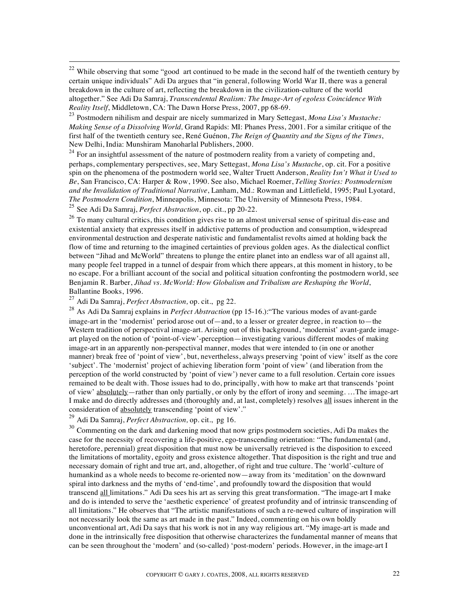$22$  While observing that some "good art continued to be made in the second half of the twentieth century by certain unique individuals" Adi Da argues that "in general, following World War II, there was a general breakdown in the culture of art, reflecting the breakdown in the civilization-culture of the world altogether." See Adi Da Samraj, *Transcendental Realism: The Image-Art of egoless Coincidence With Reality Itself*, Middletown, CA: The Dawn Horse Press, 2007, pp 68-69.

<sup>23</sup> Postmodern nihilism and despair are nicely summarized in Mary Settegast, *Mona Lisa's Mustache: Making Sense of a Dissolving World,* Grand Rapids: MI: Phanes Press, 2001. For a similar critique of the first half of the twentieth century see, René Guénon, *The Reign of Quantity and the Signs of the Times*, New Delhi, India: Munshiram Manoharlal Publishers, 2000.

 $24$  For an insightful assessment of the nature of postmodern reality from a variety of competing and, perhaps, complementary perspectives, see, Mary Settegast, *Mona Lisa's Mustache*, op. cit. For a positive spin on the phenomena of the postmodern world see, Walter Truett Anderson, *Reality Isn't What it Used to Be*, San Francisco, CA: Harper & Row, 1990. See also, Michael Roemer, *Telling Stories: Postmodernism and the Invalidation of Traditional Narrative*, Lanham, Md.: Rowman and Littlefield, 1995; Paul Lyotard, *The Postmodern Condition*, Minneapolis, Minnesota: The University of Minnesota Press, 1984. <sup>25</sup> See Adi Da Samraj, *Perfect Abstraction*, op. cit., pp 20-22.

<sup>26</sup> To many cultural critics, this condition gives rise to an almost universal sense of spiritual dis-ease and existential anxiety that expresses itself in addictive patterns of production and consumption, widespread environmental destruction and desperate nativistic and fundamentalist revolts aimed at holding back the flow of time and returning to the imagined certainties of previous golden ages. As the dialectical conflict between "Jihad and McWorld" threatens to plunge the entire planet into an endless war of all against all, many people feel trapped in a tunnel of despair from which there appears, at this moment in history, to be no escape. For a brilliant account of the social and political situation confronting the postmodern world, see Benjamin R. Barber, *Jihad vs. McWorld: How Globalism and Tribalism are Reshaping the World*, Ballantine Books, 1996.

<sup>27</sup> Adi Da Samraj, *Perfect Abstraction,* op. cit., pg 22.

<sup>28</sup> As Adi Da Samraj explains in *Perfect Abstraction* (pp 15-16.):"The various modes of avant-garde image-art in the 'modernist' period arose out of—and, to a lesser or greater degree, in reaction to—the Western tradition of perspectival image-art. Arising out of this background, 'modernist' avant-garde imageart played on the notion of 'point-of-view'-perception—investigating various different modes of making image-art in an apparently non-perspectival manner, modes that were intended to (in one or another manner) break free of 'point of view', but, nevertheless, always preserving 'point of view' itself as the core 'subject'. The 'modernist' project of achieving liberation form 'point of view' (and liberation from the perception of the world constructed by 'point of view') never came to a full resolution. Certain core issues remained to be dealt with. Those issues had to do, principally, with how to make art that transcends 'point of view' absolutely—rather than only partially, or only by the effort of irony and seeming. …The image-art I make and do directly addresses and (thoroughly and, at last, completely) resolves all issues inherent in the consideration of absolutely transcending 'point of view'."

<sup>29</sup> Adi Da Samraj, *Perfect Abstraction,* op. cit., pg 16.

<sup>30</sup> Commenting on the dark and darkening mood that now grips postmodern societies, Adi Da makes the case for the necessity of recovering a life-positive, ego-transcending orientation: "The fundamental (and, heretofore, perennial) great disposition that must now be universally retrieved is the disposition to exceed the limitations of mortality, egoity and gross existence altogether. That disposition is the right and true and necessary domain of right and true art, and, altogether, of right and true culture. The 'world'-culture of humankind as a whole needs to become re-oriented now—away from its 'meditation' on the downward spiral into darkness and the myths of 'end-time', and profoundly toward the disposition that would transcend all limitations." Adi Da sees his art as serving this great transformation. "The image-art I make and do is intended to serve the 'aesthetic experience' of greatest profundity and of intrinsic transcending of all limitations." He observes that "The artistic manifestations of such a re-newed culture of inspiration will not necessarily look the same as art made in the past." Indeed, commenting on his own boldly unconventional art, Adi Da says that his work is not in any way religious art. "My image-art is made and done in the intrinsically free disposition that otherwise characterizes the fundamental manner of means that can be seen throughout the 'modern' and (so-called) 'post-modern' periods. However, in the image-art I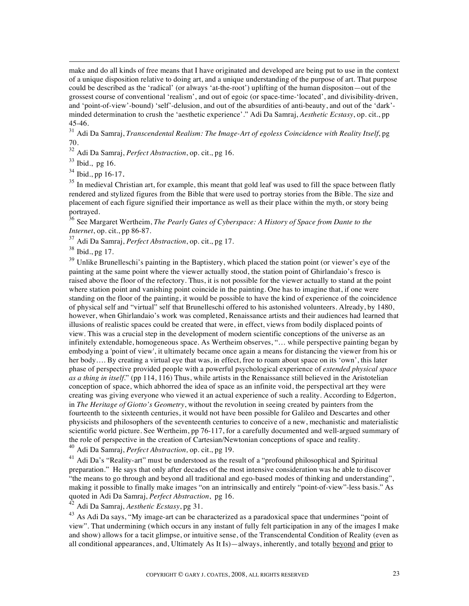make and do all kinds of free means that I have originated and developed are being put to use in the context of a unique disposition relative to doing art, and a unique understanding of the purpose of art. That purpose could be described as the 'radical' (or always 'at-the-root') uplifting of the human dispositon—out of the grossest course of conventional 'realism', and out of egoic (or space-time-'located', and divisibility-driven, and 'point-of-view'-bound) 'self'-delusion, and out of the absurdities of anti-beauty, and out of the 'dark' minded determination to crush the 'aesthetic experience'." Adi Da Samraj, *Aesthetic Ecstasy*, op. cit., pp 45-46.

<sup>31</sup> Adi Da Samraj, *Transcendental Realism: The Image-Art of egoless Coincidence with Reality Itself*, pg 70.

<sup>32</sup> Adi Da Samraj, *Perfect Abstraction*, op. cit., pg 16.

<sup>33</sup> Ibid., pg 16.

 $\overline{a}$ 

<sup>34</sup> Ibid., pp 16-17.

 $35$  In medieval Christian art, for example, this meant that gold leaf was used to fill the space between flatly rendered and stylized figures from the Bible that were used to portray stories from the Bible. The size and placement of each figure signified their importance as well as their place within the myth, or story being portrayed.

<sup>36</sup> See Margaret Wertheim, *The Pearly Gates of Cyberspace: A History of Space from Dante to the Internet*, op. cit., pp 86-87.

<sup>37</sup> Adi Da Samraj, *Perfect Abstraction*, op. cit., pg 17.

<sup>38</sup> Ibid., pg 17.

 $39$  Unlike Brunelleschi's painting in the Baptistery, which placed the station point (or viewer's eye of the painting at the same point where the viewer actually stood, the station point of Ghirlandaio's fresco is raised above the floor of the refectory. Thus, it is not possible for the viewer actually to stand at the point where station point and vanishing point coincide in the painting. One has to imagine that, if one were standing on the floor of the painting, it would be possible to have the kind of experience of the coincidence of physical self and "virtual" self that Brunelleschi offered to his astonished volunteers. Already, by 1480, however, when Ghirlandaio's work was completed, Renaissance artists and their audiences had learned that illusions of realistic spaces could be created that were, in effect, views from bodily displaced points of view. This was a crucial step in the development of modern scientific conceptions of the universe as an infinitely extendable, homogeneous space. As Wertheim observes, "… while perspective painting began by embodying a 'point of view', it ultimately became once again a means for distancing the viewer from his or her body.... By creating a virtual eye that was, in effect, free to roam about space on its 'own', this later phase of perspective provided people with a powerful psychological experience of *extended physical space as a thing in itself*." (pp 114, 116) Thus, while artists in the Renaissance still believed in the Aristotelian conception of space, which abhorred the idea of space as an infinite void, the perspectival art they were creating was giving everyone who viewed it an actual experience of such a reality. According to Edgerton, in *The Heritage of Giotto's Geometry*, without the revolution in seeing created by painters from the fourteenth to the sixteenth centuries, it would not have been possible for Galileo and Descartes and other physicists and philosophers of the seventeenth centuries to conceive of a new, mechanistic and materialistic scientific world picture. See Wertheim, pp 76-117, for a carefully documented and well-argued summary of the role of perspective in the creation of Cartesian/Newtonian conceptions of space and reality.

<sup>40</sup> Adi Da Samraj, *Perfect Abstraction,* op. cit., pg 19.

 $^{41}$  Adi Da's "Reality-art" must be understood as the result of a "profound philosophical and Spiritual preparation." He says that only after decades of the most intensive consideration was he able to discover "the means to go through and beyond all traditional and ego-based modes of thinking and understanding", making it possible to finally make images "on an intrinsically and entirely "point-of-view"-less basis." As quoted in Adi Da Samraj, *Perfect Abstraction*, pg 16.

<sup>42</sup> Adi Da Samraj, *Aesthetic Ecstasy*, pg 31.

<sup>43</sup> As Adi Da says, "My image-art can be characterized as a paradoxical space that undermines "point of view". That undermining (which occurs in any instant of fully felt participation in any of the images I make and show) allows for a tacit glimpse, or intuitive sense, of the Transcendental Condition of Reality (even as all conditional appearances, and, Ultimately As It Is)—always, inherently, and totally beyond and prior to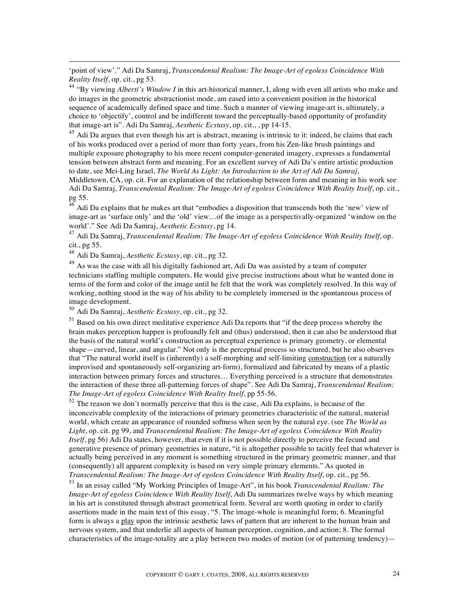'point of view'." Adi Da Samraj, *Transcendental Realism: The Image-Art of egoless Coincidence With Reality Itself*, op. cit., pg 53.

<sup>44</sup> "By viewing *Alberti's Window I* in this art-historical manner, I, along with even all artists who make and do images in the geometric abstractionist mode, am eased into a convenient position in the historical sequence of academically defined space and time. Such a manner of viewing image-art is, ultimately, a choice to 'objectify', control and be indifferent toward the perceptually-based opportunity of profundity that image-art is". Adi Da Samraj, *Aesthetic Ecstasy*, op. cit., , pp 14-15.

 $45$  Adi Da argues that even though his art is abstract, meaning is intrinsic to it: indeed, he claims that each of his works produced over a period of more than forty years, from his Zen-like brush paintings and multiple exposure photography to his more recent computer-generated imagery, expresses a fundamental tension between abstract form and meaning. For an excellent survey of Adi Da's entire artistic production to date, see Mei-Ling Israel, *The World As Light: An Introduction to the Art of Adi Da Samraj*,

Middletown, CA, op. cit. For an explanation of the relationship between form and meaning in his work see Adi Da Samraj, *Transcendental Realism: The Image-Art of egoless Coincidence With Reality Itself*, op. cit., pg 55.

 $^{46}$  Adi Da explains that he makes art that "embodies a disposition that transcends both the 'new' view of image-art as 'surface only' and the 'old' view…of the image as a perspectivally-organized 'window on the world'." See Adi Da Samraj, *Aesthetic Ecstasy*, pg 14.

<sup>47</sup> Adi Da Samraj, *Transcendental Realism: The Image-Art of egoless Coincidence With Reality Itself*, op. cit., pg 55.

<sup>48</sup> Adi Da Samraj, *Aesthetic Ecstasy*, op. cit., pg 32.

 $\overline{a}$ 

<sup>49</sup> As was the case with all his digitally fashioned art, Adi Da was assisted by a team of computer technicians staffing multiple computers. He would give precise instructions about what he wanted done in terms of the form and color of the image until he felt that the work was completely resolved. In this way of working, nothing stood in the way of his ability to be completely immersed in the spontaneous process of image development.

<sup>50</sup> Adi Da Samraj, *Aesthetic Ecstasy*, op. cit., pg 32.

<sup>51</sup> Based on his own direct meditative experience Adi Da reports that "if the deep process whereby the brain makes perception happen is profoundly felt and (thus) understood, then it can also be understood that the basis of the natural world's construction as perceptual experience is primary geometry, or elemental shape—curved, linear, and angular." Not only is the perceptual process so structured, but he also observes that "The natural world itself is (inherently) a self-morphing and self-limiting construction (or a naturally improvised and spontaneously self-organizing art-form), formalized and fabricated by means of a plastic interaction between primary forces and structures… Everything perceived is a structure that demonstrates the interaction of these three all-patterning forces of shape". See Adi Da Samraj, *Transcendental Realism: The Image-Art of egoless Coincidence With Reality Itself*, pp 55-56.

 $52$  The reason we don't normally perceive that this is the case, Adi Da explains, is because of the inconceivable complexity of the interactions of primary geometries characteristic of the natural, material world, which create an appearance of rounded softness when seen by the natural eye. (see *The World as Light*, op. cit. pg 99, and *Transcendental Realism: The Image-Art of egoless Coincidence With Reality Itself*, pg 56) Adi Da states, however, that even if it is not possible directly to perceive the fecund and generative presence of primary geometries in nature, "it is altogether possible to tacitly feel that whatever is actually being perceived in any moment is something structured in the primary geometric manner, and that (consequently) all apparent complexity is based on very simple primary elements." As quoted in *Transcendental Realism: The Image-Art of egoless Coincidence With Reality Itself*, op. cit., pg 56.

<sup>53</sup> In an essay called "My Working Principles of Image-Art", in his book *Transcendental Realism: The Image-Art of egoless Coincidence With Reality Itself*, Adi Da summarizes twelve ways by which meaning in his art is constituted through abstract geometrical form. Several are worth quoting in order to clarify assertions made in the main text of this essay. "5. The image-whole is meaningful form; 6. Meaningful form is always a play upon the intrinsic aesthetic laws of pattern that are inherent to the human brain and nervous system, and that underlie all aspects of human perception, cognition, and action; 8. The formal characteristics of the image-totality are a play between two modes of motion (or of patterning tendency)—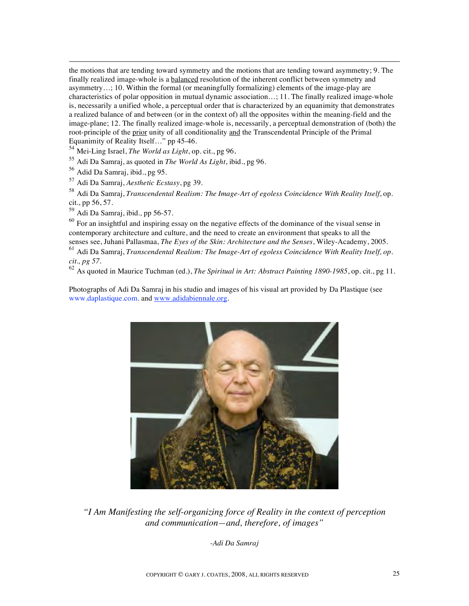the motions that are tending toward symmetry and the motions that are tending toward asymmetry; 9. The finally realized image-whole is a balanced resolution of the inherent conflict between symmetry and asymmetry…; 10. Within the formal (or meaningfully formalizing) elements of the image-play are characteristics of polar opposition in mutual dynamic association…; 11. The finally realized image-whole is, necessarily a unified whole, a perceptual order that is characterized by an equanimity that demonstrates a realized balance of and between (or in the context of) all the opposites within the meaning-field and the image-plane; 12. The finally realized image-whole is, necessarily, a perceptual demonstration of (both) the root-principle of the prior unity of all conditionality and the Transcendental Principle of the Primal Equanimity of Reality Itself…" pp 45-46.

<sup>54</sup> Mei-Ling Israel, *The World as Light*, op. cit., pg 96*.*

<sup>55</sup> Adi Da Samraj, as quoted in *The World As Light*, ibid., pg 96.

<sup>56</sup> Adid Da Samraj, ibid., pg 95.

 $\overline{a}$ 

<sup>57</sup> Adi Da Samraj, *Aesthetic Ecstasy*, pg 39.

<sup>58</sup> Adi Da Samraj, *Transcendental Realism: The Image-Art of egoless Coincidence With Reality Itself*, op. cit., pp 56, 57.

<sup>59</sup> Adi Da Samraj, ibid*.,* pp 56-57.

 $60$  For an insightful and inspiring essay on the negative effects of the dominance of the visual sense in contemporary architecture and culture, and the need to create an environment that speaks to all the senses see, Juhani Pallasmaa, *The Eyes of the Skin: Architecture and the Senses*, Wiley-Academy, 2005.

<sup>61</sup> Adi Da Samraj, *Transcendental Realism: The Image-Art of egoless Coincidence With Reality Itself, op. cit., pg 57.*

<sup>62</sup> As quoted in Maurice Tuchman (ed.), *The Spiritual in Art: Abstract Painting 1890-1985*, op. cit., pg 11.

Photographs of Adi Da Samraj in his studio and images of his visual art provided by Da Plastique (see www.daplastique.com. and www.adidabiennale.org.



*"I Am Manifesting the self-organizing force of Reality in the context of perception and communication—and, therefore, of images"*

*-Adi Da Samraj*